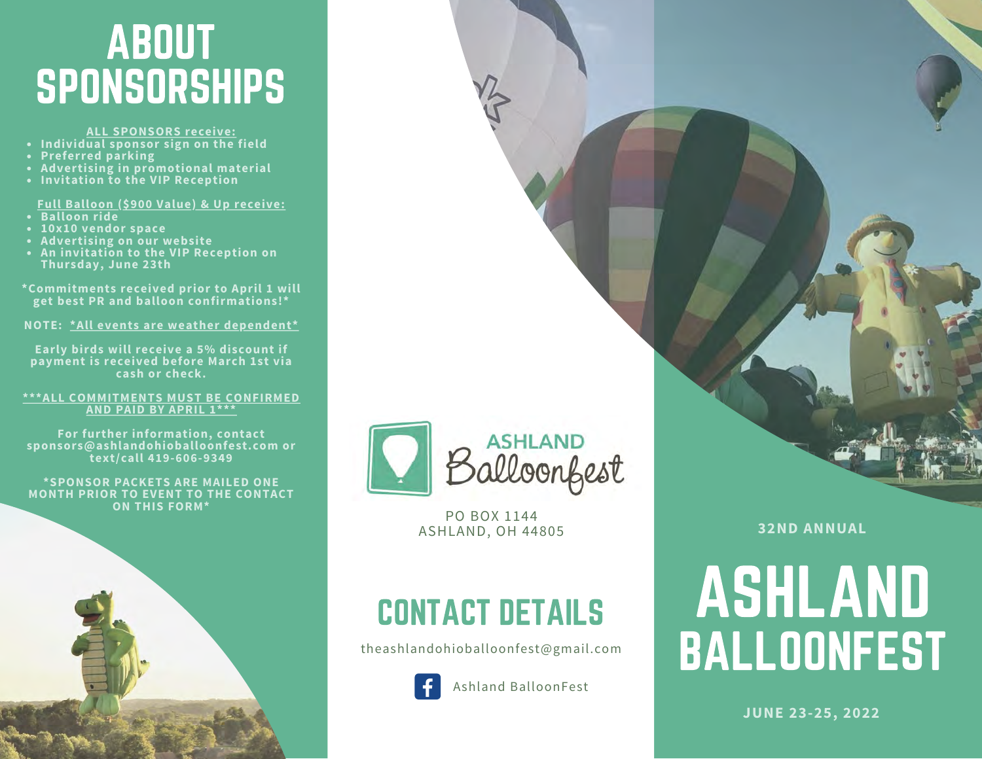## ABOUT SPONSORSHIPS

- **ALL SPONSORS receive:**
- **Preferred parking**
- **Advertising in promotional material**
- **Invitation to the VIP Reception**

**Full Balloon (\$900 Value) & Up receive:**

- **Balloon ride**
- **10x10 vendor space**
- **Advertising on our website**
- **An invitation to the VIP Reception on Thursday, June 23th**

**\*Commitments received prior to April 1 will get best PR and balloon confirmations!\***

**NOTE: \*All events are weather dependent\***

**Early birds will receive a 5% discount if payment is received before March 1st via cash or check.**

#### **\*\*\*ALL COMMITMENTS MUST BE CONFIRMED AND PAID BY APRIL 1\*\*\***

**For further information, contact sponsors@ashlandohioballoonfest.com or text/call 419-606-9349**

**\*SPONSOR PACKETS ARE MAILED ONE MONTH PRIOR TO EVENT TO THE CONTACT ON THIS FORM\***



PO BOX 1144 ASHLAND, OH 44805

## CONTACT DETAILS

theashlandohioballoonfest@gmail.com



**32ND ANNUAL**

# ASHLAND BALLOONFEST

**JUNE 23-25, 2022**